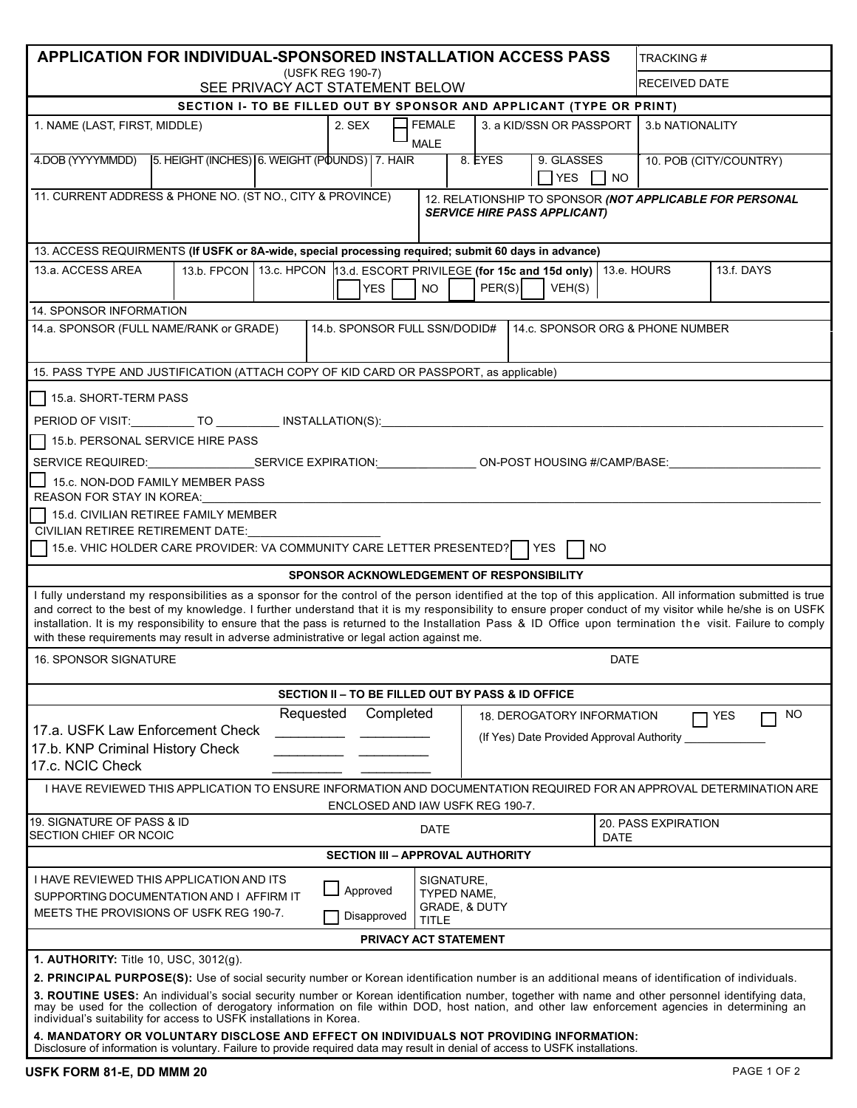| APPLICATION FOR INDIVIDUAL-SPONSORED INSTALLATION ACCESS PASS                                                                                                                                                                                                                                                                                                                                                                                                                                                                                                                           |  |  |                                                   |                                                                                                                                  |  |                                   |  |                                           | <b>TRACKING#</b> |                        |     |    |  |
|-----------------------------------------------------------------------------------------------------------------------------------------------------------------------------------------------------------------------------------------------------------------------------------------------------------------------------------------------------------------------------------------------------------------------------------------------------------------------------------------------------------------------------------------------------------------------------------------|--|--|---------------------------------------------------|----------------------------------------------------------------------------------------------------------------------------------|--|-----------------------------------|--|-------------------------------------------|------------------|------------------------|-----|----|--|
| (USFK REG 190-7)<br>SEE PRIVACY ACT STATEMENT BELOW                                                                                                                                                                                                                                                                                                                                                                                                                                                                                                                                     |  |  |                                                   |                                                                                                                                  |  |                                   |  |                                           |                  | <b>RECEIVED DATE</b>   |     |    |  |
| SECTION I- TO BE FILLED OUT BY SPONSOR AND APPLICANT (TYPE OR PRINT)                                                                                                                                                                                                                                                                                                                                                                                                                                                                                                                    |  |  |                                                   |                                                                                                                                  |  |                                   |  |                                           |                  |                        |     |    |  |
| 1. NAME (LAST, FIRST, MIDDLE)                                                                                                                                                                                                                                                                                                                                                                                                                                                                                                                                                           |  |  |                                                   | <b>FEMALE</b><br>2. SEX<br>3. a KID/SSN OR PASSPORT<br><b>MALE</b>                                                               |  |                                   |  |                                           |                  | 3.b NATIONALITY        |     |    |  |
| 4.DOB (YYYYMMDD) 5. HEIGHT (INCHES) 6. WEIGHT (POUNDS) 7. HAIR                                                                                                                                                                                                                                                                                                                                                                                                                                                                                                                          |  |  |                                                   |                                                                                                                                  |  | 8. EYES                           |  | 9. GLASSES<br>$\Box$ YES $\Box$ NO        |                  | 10. POB (CITY/COUNTRY) |     |    |  |
| 11. CURRENT ADDRESS & PHONE NO. (ST NO., CITY & PROVINCE)<br>12. RELATIONSHIP TO SPONSOR (NOT APPLICABLE FOR PERSONAL<br><b>SERVICE HIRE PASS APPLICANT)</b>                                                                                                                                                                                                                                                                                                                                                                                                                            |  |  |                                                   |                                                                                                                                  |  |                                   |  |                                           |                  |                        |     |    |  |
| 13. ACCESS REQUIRMENTS (If USFK or 8A-wide, special processing required; submit 60 days in advance)                                                                                                                                                                                                                                                                                                                                                                                                                                                                                     |  |  |                                                   |                                                                                                                                  |  |                                   |  |                                           |                  |                        |     |    |  |
| 13.a. ACCESS AREA                                                                                                                                                                                                                                                                                                                                                                                                                                                                                                                                                                       |  |  |                                                   | 13.b. FPCON 13.c. HPCON 13.d. ESCORT PRIVILEGE (for 15c and 15d only) 13.e. HOURS<br>PER(S)<br>VEH(S)<br><b>YES</b><br><b>NO</b> |  |                                   |  |                                           |                  | 13.f. DAYS             |     |    |  |
| <b>14. SPONSOR INFORMATION</b>                                                                                                                                                                                                                                                                                                                                                                                                                                                                                                                                                          |  |  |                                                   |                                                                                                                                  |  |                                   |  |                                           |                  |                        |     |    |  |
| 14.a. SPONSOR (FULL NAME/RANK or GRADE)<br>14.b. SPONSOR FULL SSN/DODID#<br>14.c. SPONSOR ORG & PHONE NUMBER                                                                                                                                                                                                                                                                                                                                                                                                                                                                            |  |  |                                                   |                                                                                                                                  |  |                                   |  |                                           |                  |                        |     |    |  |
| 15. PASS TYPE AND JUSTIFICATION (ATTACH COPY OF KID CARD OR PASSPORT, as applicable)                                                                                                                                                                                                                                                                                                                                                                                                                                                                                                    |  |  |                                                   |                                                                                                                                  |  |                                   |  |                                           |                  |                        |     |    |  |
| 15.a. SHORT-TERM PASS<br>PERIOD OF VISIT: ___________ TO ___________ INSTALLATION(S): ___________________                                                                                                                                                                                                                                                                                                                                                                                                                                                                               |  |  |                                                   |                                                                                                                                  |  |                                   |  |                                           |                  |                        |     |    |  |
| 15.b. PERSONAL SERVICE HIRE PASS<br>SERVICE REQUIRED: SERVICE EXPIRATION: CON-POST HOUSING #/CAMP/BASE:<br>15.c. NON-DOD FAMILY MEMBER PASS                                                                                                                                                                                                                                                                                                                                                                                                                                             |  |  |                                                   |                                                                                                                                  |  |                                   |  |                                           |                  |                        |     |    |  |
| REASON FOR STAY IN KOREA:<br>15.d. CIVILIAN RETIREE FAMILY MEMBER<br>CIVILIAN RETIREE RETIREMENT DATE:                                                                                                                                                                                                                                                                                                                                                                                                                                                                                  |  |  |                                                   |                                                                                                                                  |  |                                   |  |                                           |                  |                        |     |    |  |
| 15.e. VHIC HOLDER CARE PROVIDER: VA COMMUNITY CARE LETTER PRESENTED?<br><b>YES</b><br>NO.                                                                                                                                                                                                                                                                                                                                                                                                                                                                                               |  |  |                                                   |                                                                                                                                  |  |                                   |  |                                           |                  |                        |     |    |  |
| SPONSOR ACKNOWLEDGEMENT OF RESPONSIBILITY                                                                                                                                                                                                                                                                                                                                                                                                                                                                                                                                               |  |  |                                                   |                                                                                                                                  |  |                                   |  |                                           |                  |                        |     |    |  |
| I fully understand my responsibilities as a sponsor for the control of the person identified at the top of this application. All information submitted is true<br>and correct to the best of my knowledge. I further understand that it is my responsibility to ensure proper conduct of my visitor while he/she is on USFK<br>installation. It is my responsibility to ensure that the pass is returned to the Installation Pass & ID Office upon termination the visit. Failure to comply<br>with these requirements may result in adverse administrative or legal action against me. |  |  |                                                   |                                                                                                                                  |  |                                   |  |                                           |                  |                        |     |    |  |
| <b>16. SPONSOR SIGNATURE</b>                                                                                                                                                                                                                                                                                                                                                                                                                                                                                                                                                            |  |  |                                                   |                                                                                                                                  |  | <b>DATE</b>                       |  |                                           |                  |                        |     |    |  |
|                                                                                                                                                                                                                                                                                                                                                                                                                                                                                                                                                                                         |  |  | SECTION II – TO BE FILLED OUT BY PASS & ID OFFICE |                                                                                                                                  |  |                                   |  |                                           |                  |                        |     |    |  |
| Requested<br>Completed                                                                                                                                                                                                                                                                                                                                                                                                                                                                                                                                                                  |  |  |                                                   |                                                                                                                                  |  | <b>18. DEROGATORY INFORMATION</b> |  |                                           |                  |                        | YES | NO |  |
| 17.a. USFK Law Enforcement Check<br>17.b. KNP Criminal History Check<br>17.c. NCIC Check                                                                                                                                                                                                                                                                                                                                                                                                                                                                                                |  |  |                                                   |                                                                                                                                  |  |                                   |  | (If Yes) Date Provided Approval Authority |                  |                        |     |    |  |
| I HAVE REVIEWED THIS APPLICATION TO ENSURE INFORMATION AND DOCUMENTATION REQUIRED FOR AN APPROVAL DETERMINATION ARE<br>ENCLOSED AND IAW USFK REG 190-7.                                                                                                                                                                                                                                                                                                                                                                                                                                 |  |  |                                                   |                                                                                                                                  |  |                                   |  |                                           |                  |                        |     |    |  |
| 19. SIGNATURE OF PASS & ID<br>SECTION CHIEF OR NCOIC                                                                                                                                                                                                                                                                                                                                                                                                                                                                                                                                    |  |  |                                                   |                                                                                                                                  |  | DATE<br><b>DATE</b>               |  |                                           |                  | 20. PASS EXPIRATION    |     |    |  |
| <b>SECTION III - APPROVAL AUTHORITY</b>                                                                                                                                                                                                                                                                                                                                                                                                                                                                                                                                                 |  |  |                                                   |                                                                                                                                  |  |                                   |  |                                           |                  |                        |     |    |  |
| I HAVE REVIEWED THIS APPLICATION AND ITS<br>SIGNATURE,<br>Approved<br>TYPED NAME,<br>SUPPORTING DOCUMENTATION AND I AFFIRM IT<br>GRADE, & DUTY<br>MEETS THE PROVISIONS OF USFK REG 190-7.<br>Disapproved<br><b>TITLE</b>                                                                                                                                                                                                                                                                                                                                                                |  |  |                                                   |                                                                                                                                  |  |                                   |  |                                           |                  |                        |     |    |  |
|                                                                                                                                                                                                                                                                                                                                                                                                                                                                                                                                                                                         |  |  |                                                   | PRIVACY ACT STATEMENT                                                                                                            |  |                                   |  |                                           |                  |                        |     |    |  |
| <b>1. AUTHORITY:</b> Title 10, USC, 3012(g).                                                                                                                                                                                                                                                                                                                                                                                                                                                                                                                                            |  |  |                                                   |                                                                                                                                  |  |                                   |  |                                           |                  |                        |     |    |  |
| 2. PRINCIPAL PURPOSE(S): Use of social security number or Korean identification number is an additional means of identification of individuals.                                                                                                                                                                                                                                                                                                                                                                                                                                         |  |  |                                                   |                                                                                                                                  |  |                                   |  |                                           |                  |                        |     |    |  |
| 3. ROUTINE USES: An individual's social security number or Korean identification number, together with name and other personnel identifying data,<br>may be used for the collection of derogatory information on file within DOD, host nation, and other law enforcement agencies in determining an<br>individual's suitability for access to USFK installations in Korea.                                                                                                                                                                                                              |  |  |                                                   |                                                                                                                                  |  |                                   |  |                                           |                  |                        |     |    |  |
| 4. MANDATORY OR VOLUNTARY DISCLOSE AND EFFECT ON INDIVIDUALS NOT PROVIDING INFORMATION:<br>Disclosure of information is voluntary. Failure to provide required data may result in denial of access to USFK installations.                                                                                                                                                                                                                                                                                                                                                               |  |  |                                                   |                                                                                                                                  |  |                                   |  |                                           |                  |                        |     |    |  |